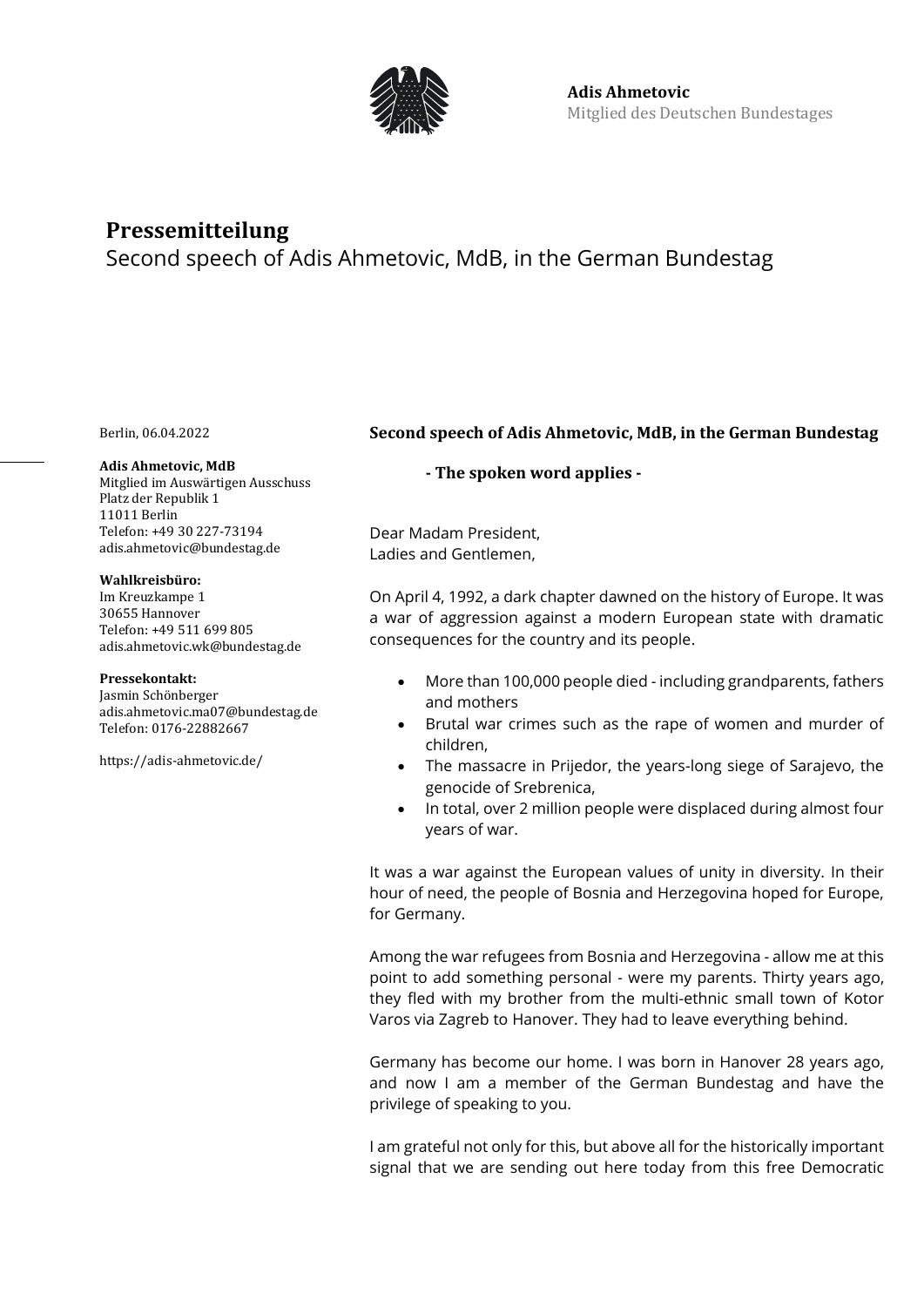

# **Pressemitteilung**

Second speech of Adis Ahmetovic, MdB, in the German Bundestag

Berlin, 06.04.2022

### **Adis Ahmetovic, MdB**

Mitglied im Auswärtigen Ausschuss Platz der Republik 1 11011 Berlin Telefon: +49 30 227-73194 adis.ahmetovic@bundestag.de

## **Wahlkreisbüro:**

Im Kreuzkampe 1 30655 Hannover Telefon: +49 511 699 805 [adis.ahmetovic.wk@bundestag.de](mailto:adis.ahmetovic.wk@bundestag.de)

### **Pressekontakt:**

Jasmin Schönberger adis.ahmetovic.ma07@bundestag.de Telefon[: 0176-22882667](mailto:adis.ahmetovic.wk@bundestag.de)

<https://adis-ahmetovic.de/>

# **Second speech of Adis Ahmetovic, MdB, in the German Bundestag**

**- The spoken word applies -**

Dear Madam President, Ladies and Gentlemen,

On April 4, 1992, a dark chapter dawned on the history of Europe. It was a war of aggression against a modern European state with dramatic consequences for the country and its people.

- More than 100,000 people died including grandparents, fathers and mothers
- Brutal war crimes such as the rape of women and murder of children,
- The massacre in Prijedor, the years-long siege of Sarajevo, the genocide of Srebrenica,
- In total, over 2 million people were displaced during almost four years of war.

It was a war against the European values of unity in diversity. In their hour of need, the people of Bosnia and Herzegovina hoped for Europe, for Germany.

Among the war refugees from Bosnia and Herzegovina - allow me at this point to add something personal - were my parents. Thirty years ago, they fled with my brother from the multi-ethnic small town of Kotor Varos via Zagreb to Hanover. They had to leave everything behind.

Germany has become our home. I was born in Hanover 28 years ago, and now I am a member of the German Bundestag and have the privilege of speaking to you.

I am grateful not only for this, but above all for the historically important signal that we are sending out here today from this free Democratic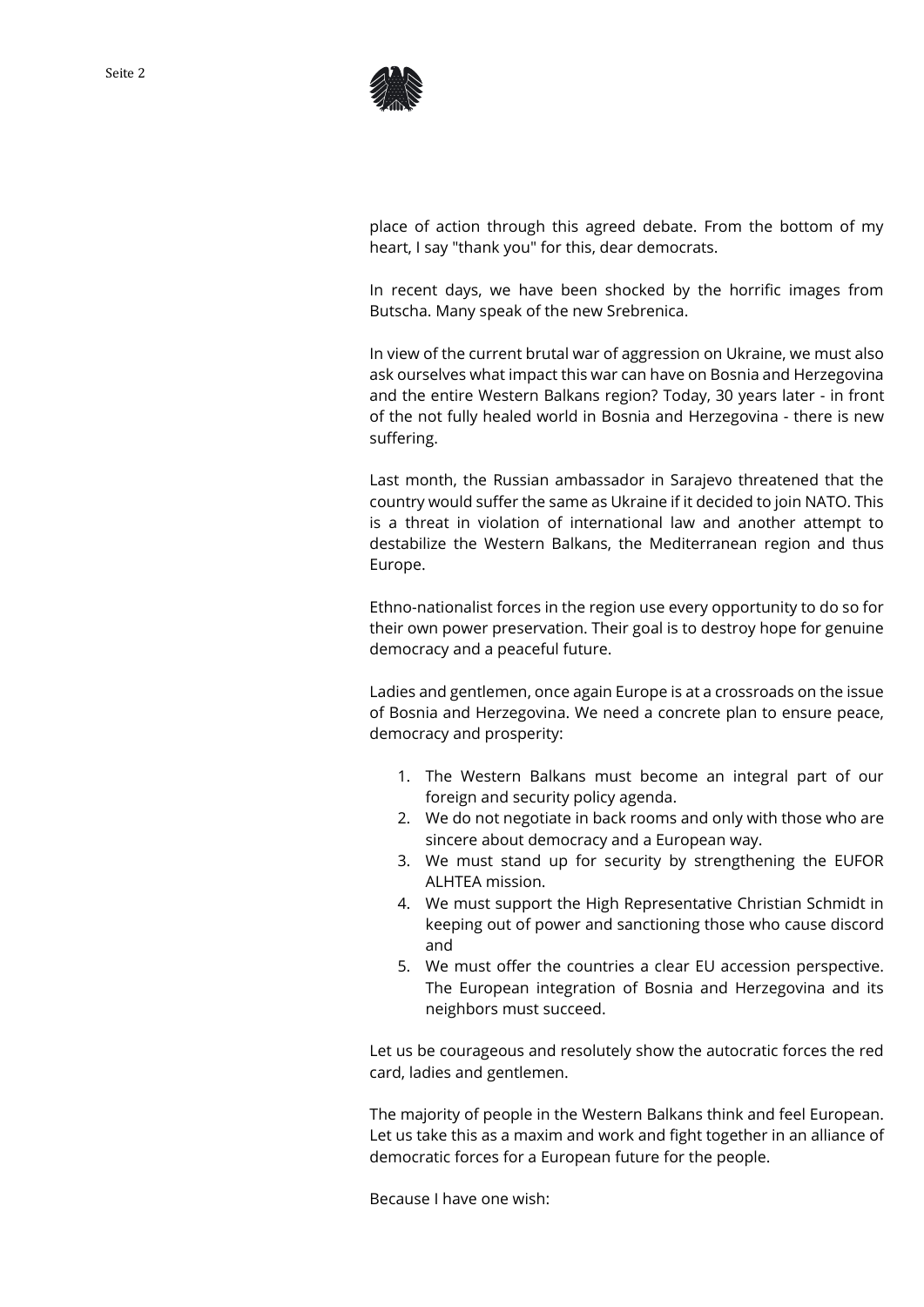

place of action through this agreed debate. From the bottom of my heart, I say "thank you" for this, dear democrats.

In recent days, we have been shocked by the horrific images from Butscha. Many speak of the new Srebrenica.

In view of the current brutal war of aggression on Ukraine, we must also ask ourselves what impact this war can have on Bosnia and Herzegovina and the entire Western Balkans region? Today, 30 years later - in front of the not fully healed world in Bosnia and Herzegovina - there is new suffering.

Last month, the Russian ambassador in Sarajevo threatened that the country would suffer the same as Ukraine if it decided to join NATO. This is a threat in violation of international law and another attempt to destabilize the Western Balkans, the Mediterranean region and thus Europe.

Ethno-nationalist forces in the region use every opportunity to do so for their own power preservation. Their goal is to destroy hope for genuine democracy and a peaceful future.

Ladies and gentlemen, once again Europe is at a crossroads on the issue of Bosnia and Herzegovina. We need a concrete plan to ensure peace, democracy and prosperity:

- 1. The Western Balkans must become an integral part of our foreign and security policy agenda.
- 2. We do not negotiate in back rooms and only with those who are sincere about democracy and a European way.
- 3. We must stand up for security by strengthening the EUFOR ALHTEA mission.
- 4. We must support the High Representative Christian Schmidt in keeping out of power and sanctioning those who cause discord and
- 5. We must offer the countries a clear EU accession perspective. The European integration of Bosnia and Herzegovina and its neighbors must succeed.

Let us be courageous and resolutely show the autocratic forces the red card, ladies and gentlemen.

The majority of people in the Western Balkans think and feel European. Let us take this as a maxim and work and fight together in an alliance of democratic forces for a European future for the people.

Because I have one wish: